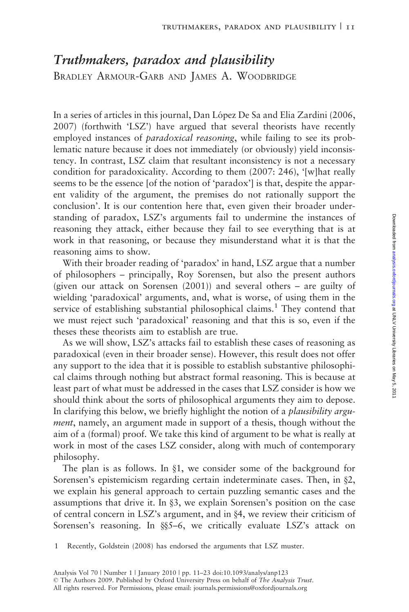# Truthmakers, paradox and plausibility BRADLEY ARMOUR-GARB AND JAMES A. WOODBRIDGE

In a series of articles in this journal, Dan López De Sa and Elia Zardini (2006, 2007) (forthwith 'LSZ') have argued that several theorists have recently employed instances of *paradoxical reasoning*, while failing to see its problematic nature because it does not immediately (or obviously) yield inconsistency. In contrast, LSZ claim that resultant inconsistency is not a necessary condition for paradoxicality. According to them (2007: 246), '[w]hat really seems to be the essence [of the notion of 'paradox'] is that, despite the apparent validity of the argument, the premises do not rationally support the conclusion'. It is our contention here that, even given their broader understanding of paradox, LSZ's arguments fail to undermine the instances of reasoning they attack, either because they fail to see everything that is at work in that reasoning, or because they misunderstand what it is that the reasoning aims to show.

With their broader reading of 'paradox' in hand, LSZ argue that a number of philosophers – principally, Roy Sorensen, but also the present authors (given our attack on Sorensen (2001)) and several others – are guilty of wielding 'paradoxical' arguments, and, what is worse, of using them in the service of establishing substantial philosophical claims.<sup>1</sup> They contend that we must reject such 'paradoxical' reasoning and that this is so, even if the theses these theorists aim to establish are true.

As we will show, LSZ's attacks fail to establish these cases of reasoning as paradoxical (even in their broader sense). However, this result does not offer any support to the idea that it is possible to establish substantive philosophical claims through nothing but abstract formal reasoning. This is because at least part of what must be addressed in the cases that LSZ consider is how we should think about the sorts of philosophical arguments they aim to depose. In clarifying this below, we briefly highlight the notion of a *plausibility argu*ment, namely, an argument made in support of a thesis, though without the aim of a (formal) proof. We take this kind of argument to be what is really at work in most of the cases LSZ consider, along with much of contemporary philosophy.

The plan is as follows. In  $\S1$ , we consider some of the background for Sorensen's epistemicism regarding certain indeterminate cases. Then, in  $\S2$ , we explain his general approach to certain puzzling semantic cases and the assumptions that drive it. In §3, we explain Sorensen's position on the case of central concern in LSZ's argument, and in  $\S 4$ , we review their criticism of Sorensen's reasoning. In §§5–6, we critically evaluate LSZ's attack on

1 Recently, Goldstein (2008) has endorsed the arguments that LSZ muster.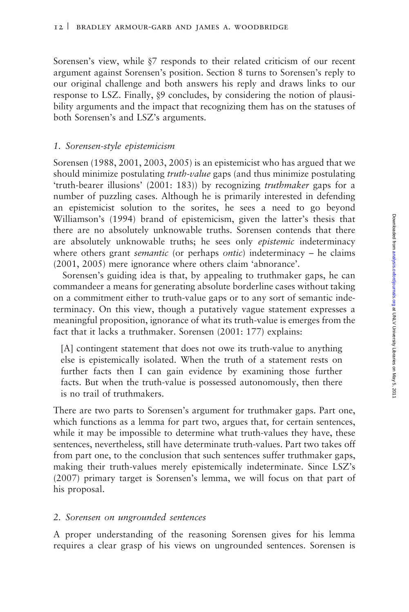Sorensen's view, while §7 responds to their related criticism of our recent argument against Sorensen's position. Section 8 turns to Sorensen's reply to our original challenge and both answers his reply and draws links to our response to LSZ. Finally,  $\&$ 9 concludes, by considering the notion of plausibility arguments and the impact that recognizing them has on the statuses of both Sorensen's and LSZ's arguments.

# 1. Sorensen-style epistemicism

Sorensen (1988, 2001, 2003, 2005) is an epistemicist who has argued that we should minimize postulating *truth-value* gaps (and thus minimize postulating 'truth-bearer illusions' (2001: 183)) by recognizing truthmaker gaps for a number of puzzling cases. Although he is primarily interested in defending an epistemicist solution to the sorites, he sees a need to go beyond Williamson's (1994) brand of epistemicism, given the latter's thesis that there are no absolutely unknowable truths. Sorensen contends that there are absolutely unknowable truths; he sees only epistemic indeterminacy where others grant *semantic* (or perhaps *ontic*) indeterminacy – he claims (2001, 2005) mere ignorance where others claim 'abnorance'.

Sorensen's guiding idea is that, by appealing to truthmaker gaps, he can commandeer a means for generating absolute borderline cases without taking on a commitment either to truth-value gaps or to any sort of semantic indeterminacy. On this view, though a putatively vague statement expresses a meaningful proposition, ignorance of what its truth-value is emerges from the fact that it lacks a truthmaker. Sorensen (2001: 177) explains:

[A] contingent statement that does not owe its truth-value to anything else is epistemically isolated. When the truth of a statement rests on further facts then I can gain evidence by examining those further facts. But when the truth-value is possessed autonomously, then there is no trail of truthmakers.

There are two parts to Sorensen's argument for truthmaker gaps. Part one, which functions as a lemma for part two, argues that, for certain sentences, while it may be impossible to determine what truth-values they have, these sentences, nevertheless, still have determinate truth-values. Part two takes off from part one, to the conclusion that such sentences suffer truthmaker gaps, making their truth-values merely epistemically indeterminate. Since LSZ's (2007) primary target is Sorensen's lemma, we will focus on that part of his proposal.

## 2. Sorensen on ungrounded sentences

A proper understanding of the reasoning Sorensen gives for his lemma requires a clear grasp of his views on ungrounded sentences. Sorensen is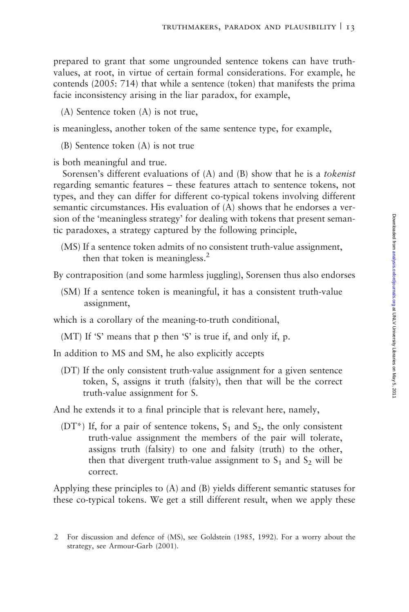prepared to grant that some ungrounded sentence tokens can have truthvalues, at root, in virtue of certain formal considerations. For example, he contends (2005: 714) that while a sentence (token) that manifests the prima facie inconsistency arising in the liar paradox, for example,

(A) Sentence token (A) is not true,

is meaningless, another token of the same sentence type, for example,

(B) Sentence token (A) is not true

is both meaningful and true.

Sorensen's different evaluations of (A) and (B) show that he is a tokenist regarding semantic features – these features attach to sentence tokens, not types, and they can differ for different co-typical tokens involving different semantic circumstances. His evaluation of (A) shows that he endorses a version of the 'meaningless strategy' for dealing with tokens that present semantic paradoxes, a strategy captured by the following principle,

(MS) If a sentence token admits of no consistent truth-value assignment, then that token is meaningless. $<sup>2</sup>$ </sup>

By contraposition (and some harmless juggling), Sorensen thus also endorses

(SM) If a sentence token is meaningful, it has a consistent truth-value assignment,

which is a corollary of the meaning-to-truth conditional,

(MT) If 'S' means that p then 'S' is true if, and only if, p.

In addition to MS and SM, he also explicitly accepts

(DT) If the only consistent truth-value assignment for a given sentence token, S, assigns it truth (falsity), then that will be the correct truth-value assignment for S.

And he extends it to a final principle that is relevant here, namely,

(DT<sup>\*</sup>) If, for a pair of sentence tokens,  $S_1$  and  $S_2$ , the only consistent truth-value assignment the members of the pair will tolerate, assigns truth (falsity) to one and falsity (truth) to the other, then that divergent truth-value assignment to  $S_1$  and  $S_2$  will be correct.

Applying these principles to (A) and (B) yields different semantic statuses for these co-typical tokens. We get a still different result, when we apply these

<sup>2</sup> For discussion and defence of (MS), see Goldstein (1985, 1992). For a worry about the strategy, see Armour-Garb (2001).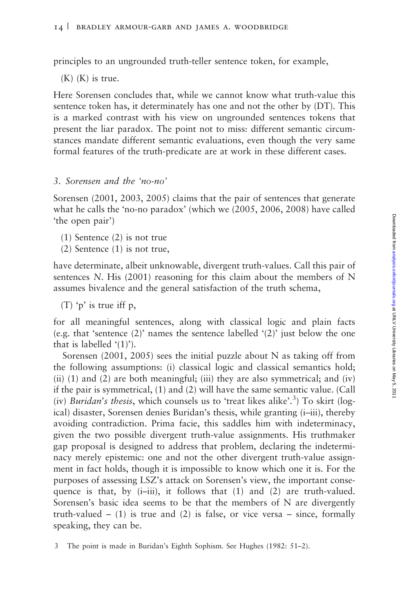principles to an ungrounded truth-teller sentence token, for example,

 $(K)$   $(K)$  is true.

Here Sorensen concludes that, while we cannot know what truth-value this sentence token has, it determinately has one and not the other by (DT). This is a marked contrast with his view on ungrounded sentences tokens that present the liar paradox. The point not to miss: different semantic circumstances mandate different semantic evaluations, even though the very same formal features of the truth-predicate are at work in these different cases.

#### 3. Sorensen and the 'no-no'

Sorensen (2001, 2003, 2005) claims that the pair of sentences that generate what he calls the 'no-no paradox' (which we (2005, 2006, 2008) have called 'the open pair')

- (1) Sentence (2) is not true
- (2) Sentence (1) is not true,

have determinate, albeit unknowable, divergent truth-values. Call this pair of sentences N. His (2001) reasoning for this claim about the members of N assumes bivalence and the general satisfaction of the truth schema,

(T) 'p' is true iff p,

for all meaningful sentences, along with classical logic and plain facts (e.g. that 'sentence  $(2)$ ' names the sentence labelled ' $(2)$ ' just below the one that is labelled '(1)').

Sorensen (2001, 2005) sees the initial puzzle about N as taking off from the following assumptions: (i) classical logic and classical semantics hold; (ii) (1) and (2) are both meaningful; (iii) they are also symmetrical; and (iv) if the pair is symmetrical, (1) and (2) will have the same semantic value. (Call (iv) Buridan's thesis, which counsels us to 'treat likes alike'.<sup>3</sup>) To skirt (logical) disaster, Sorensen denies Buridan's thesis, while granting (i–iii), thereby avoiding contradiction. Prima facie, this saddles him with indeterminacy, given the two possible divergent truth-value assignments. His truthmaker gap proposal is designed to address that problem, declaring the indeterminacy merely epistemic: one and not the other divergent truth-value assignment in fact holds, though it is impossible to know which one it is. For the purposes of assessing LSZ's attack on Sorensen's view, the important consequence is that, by  $(i-iii)$ , it follows that  $(1)$  and  $(2)$  are truth-valued. Sorensen's basic idea seems to be that the members of N are divergently truth-valued  $-$  (1) is true and (2) is false, or vice versa  $-$  since, formally speaking, they can be.

<sup>3</sup> The point is made in Buridan's Eighth Sophism. See Hughes (1982: 51–2).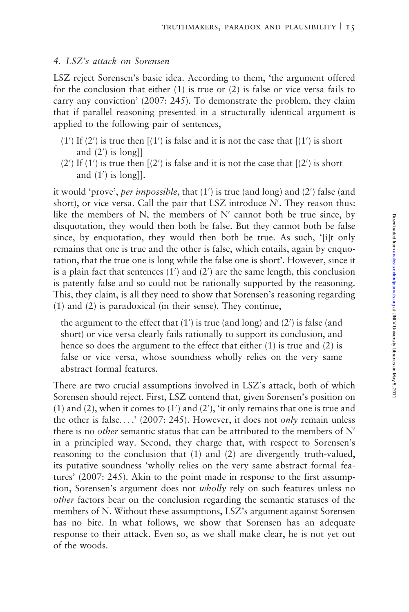#### 4. LSZ's attack on Sorensen

LSZ reject Sorensen's basic idea. According to them, 'the argument offered for the conclusion that either (1) is true or (2) is false or vice versa fails to carry any conviction' (2007: 245). To demonstrate the problem, they claim that if parallel reasoning presented in a structurally identical argument is applied to the following pair of sentences,

- (1') If (2') is true then  $[(1')$  is false and it is not the case that  $[(1')$  is short and (2') is long]]
- $(2')$  If  $(1')$  is true then  $[(2')$  is false and it is not the case that  $[(2')$  is short and  $(1')$  is long]].

it would 'prove', per impossible, that (1') is true (and long) and (2') false (and short), or vice versa. Call the pair that LSZ introduce  $N'$ . They reason thus: like the members of N, the members of N' cannot both be true since, by disquotation, they would then both be false. But they cannot both be false since, by enquotation, they would then both be true. As such, '[i]t only remains that one is true and the other is false, which entails, again by enquotation, that the true one is long while the false one is short'. However, since it is a plain fact that sentences  $(1')$  and  $(2')$  are the same length, this conclusion is patently false and so could not be rationally supported by the reasoning. This, they claim, is all they need to show that Sorensen's reasoning regarding (1) and (2) is paradoxical (in their sense). They continue,

the argument to the effect that (1') is true (and long) and (2') is false (and short) or vice versa clearly fails rationally to support its conclusion, and hence so does the argument to the effect that either (1) is true and (2) is false or vice versa, whose soundness wholly relies on the very same abstract formal features.

There are two crucial assumptions involved in LSZ's attack, both of which Sorensen should reject. First, LSZ contend that, given Sorensen's position on (1) and (2), when it comes to  $(1')$  and  $(2')$ , 'it only remains that one is true and the other is false....' (2007: 245). However, it does not *only* remain unless there is no *other* semantic status that can be attributed to the members of  $N'$ in a principled way. Second, they charge that, with respect to Sorensen's reasoning to the conclusion that (1) and (2) are divergently truth-valued, its putative soundness 'wholly relies on the very same abstract formal features' (2007: 245). Akin to the point made in response to the first assumption, Sorensen's argument does not *wholly* rely on such features unless no other factors bear on the conclusion regarding the semantic statuses of the members of N. Without these assumptions, LSZ's argument against Sorensen has no bite. In what follows, we show that Sorensen has an adequate response to their attack. Even so, as we shall make clear, he is not yet out of the woods.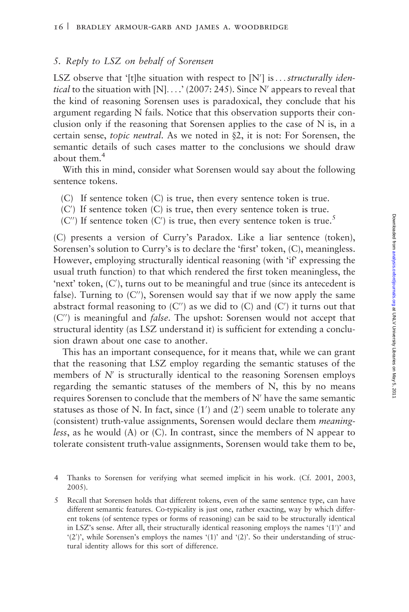## 5. Reply to LSZ on behalf of Sorensen

LSZ observe that '[t]he situation with respect to  $[N']$  is...structurally identical to the situation with  $[N]$ ....' (2007: 245). Since N' appears to reveal that the kind of reasoning Sorensen uses is paradoxical, they conclude that his argument regarding N fails. Notice that this observation supports their conclusion only if the reasoning that Sorensen applies to the case of  $N$  is, in a certain sense, *topic neutral*. As we noted in  $\S2$ , it is not: For Sorensen, the semantic details of such cases matter to the conclusions we should draw about them.<sup>4</sup>

With this in mind, consider what Sorensen would say about the following sentence tokens.

- (C) If sentence token (C) is true, then every sentence token is true.
- (C') If sentence token (C) is true, then every sentence token is true.
- (C") If sentence token (C') is true, then every sentence token is true.<sup>5</sup>

(C) presents a version of Curry's Paradox. Like a liar sentence (token), Sorensen's solution to Curry's is to declare the 'first' token, (C), meaningless. However, employing structurally identical reasoning (with 'if' expressing the usual truth function) to that which rendered the first token meaningless, the 'next' token, (C'), turns out to be meaningful and true (since its antecedent is false). Turning to  $(C'')$ , Sorensen would say that if we now apply the same abstract formal reasoning to  $(C'')$  as we did to  $(C)$  and  $(C')$  it turns out that  $(C'')$  is meaningful and *false*. The upshot: Sorensen would not accept that structural identity (as LSZ understand it) is sufficient for extending a conclusion drawn about one case to another.

This has an important consequence, for it means that, while we can grant that the reasoning that LSZ employ regarding the semantic statuses of the members of  $N'$  is structurally identical to the reasoning Sorensen employs regarding the semantic statuses of the members of N, this by no means requires Sorensen to conclude that the members of  $N'$  have the same semantic statuses as those of N. In fact, since  $(1')$  and  $(2')$  seem unable to tolerate any (consistent) truth-value assignments, Sorensen would declare them meaning*less*, as he would (A) or (C). In contrast, since the members of N appear to tolerate consistent truth-value assignments, Sorensen would take them to be,

5 Recall that Sorensen holds that different tokens, even of the same sentence type, can have different semantic features. Co-typicality is just one, rather exacting, way by which different tokens (of sentence types or forms of reasoning) can be said to be structurally identical in LSZ's sense. After all, their structurally identical reasoning employs the names '(1')' and '(2')', while Sorensen's employs the names '(1)' and '(2)'. So their understanding of structural identity allows for this sort of difference.

<sup>4</sup> Thanks to Sorensen for verifying what seemed implicit in his work. (Cf. 2001, 2003, 2005).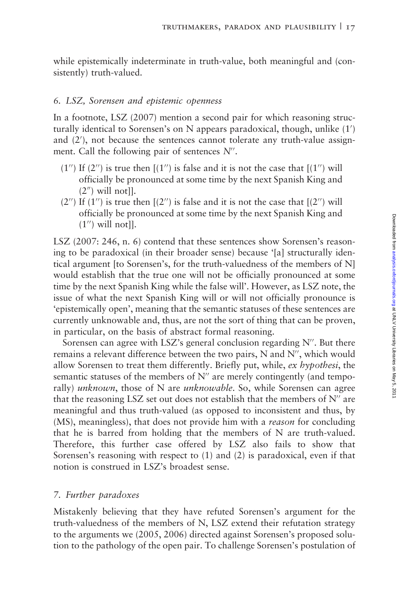while epistemically indeterminate in truth-value, both meaningful and (consistently) truth-valued.

# 6. LSZ, Sorensen and epistemic openness

In a footnote, LSZ (2007) mention a second pair for which reasoning structurally identical to Sorensen's on N appears paradoxical, though, unlike (1') and (2'), not because the sentences cannot tolerate any truth-value assignment. Call the following pair of sentences  $N''$ .

- $(1'')$  If  $(2'')$  is true then  $[(1'')$  is false and it is not the case that  $[(1'')$  will officially be pronounced at some time by the next Spanish King and  $(2<sup>n</sup>)$  will not]].
- $(2'')$  If  $(1'')$  is true then  $[(2'')$  is false and it is not the case that  $[(2'')$  will officially be pronounced at some time by the next Spanish King and  $(1'')$  will not].

LSZ (2007: 246, n. 6) contend that these sentences show Sorensen's reasoning to be paradoxical (in their broader sense) because '[a] structurally identical argument [to Sorensen's, for the truth-valuedness of the members of N] would establish that the true one will not be officially pronounced at some time by the next Spanish King while the false will'. However, as LSZ note, the issue of what the next Spanish King will or will not officially pronounce is 'epistemically open', meaning that the semantic statuses of these sentences are currently unknowable and, thus, are not the sort of thing that can be proven, in particular, on the basis of abstract formal reasoning.

Sorensen can agree with LSZ's general conclusion regarding  $N''$ . But there remains a relevant difference between the two pairs, N and  $N''$ , which would allow Sorensen to treat them differently. Briefly put, while, ex hypothesi, the semantic statuses of the members of  $N''$  are merely contingently (and temporally) *unknown*, those of N are *unknowable*. So, while Sorensen can agree that the reasoning LSZ set out does not establish that the members of  $N''$  are meaningful and thus truth-valued (as opposed to inconsistent and thus, by (MS), meaningless), that does not provide him with a *reason* for concluding that he is barred from holding that the members of N are truth-valued. Therefore, this further case offered by LSZ also fails to show that Sorensen's reasoning with respect to (1) and (2) is paradoxical, even if that notion is construed in LSZ's broadest sense.

# 7. Further paradoxes

Mistakenly believing that they have refuted Sorensen's argument for the truth-valuedness of the members of N, LSZ extend their refutation strategy to the arguments we (2005, 2006) directed against Sorensen's proposed solution to the pathology of the open pair. To challenge Sorensen's postulation of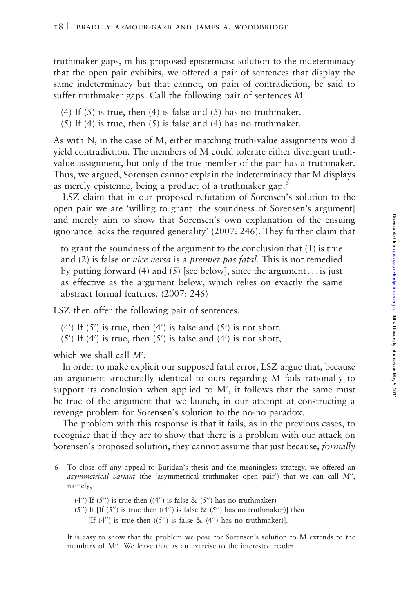truthmaker gaps, in his proposed epistemicist solution to the indeterminacy that the open pair exhibits, we offered a pair of sentences that display the same indeterminacy but that cannot, on pain of contradiction, be said to suffer truthmaker gaps. Call the following pair of sentences M.

- (4) If  $(5)$  is true, then  $(4)$  is false and  $(5)$  has no truthmaker.
- (5) If (4) is true, then (5) is false and (4) has no truthmaker.

As with N, in the case of M, either matching truth-value assignments would yield contradiction. The members of M could tolerate either divergent truthvalue assignment, but only if the true member of the pair has a truthmaker. Thus, we argued, Sorensen cannot explain the indeterminacy that M displays as merely epistemic, being a product of a truthmaker gap.<sup>6</sup>

LSZ claim that in our proposed refutation of Sorensen's solution to the open pair we are 'willing to grant [the soundness of Sorensen's argument] and merely aim to show that Sorensen's own explanation of the ensuing ignorance lacks the required generality' (2007: 246). They further claim that

to grant the soundness of the argument to the conclusion that (1) is true and (2) is false or *vice versa* is a *premier pas fatal*. This is not remedied by putting forward (4) and (5) [see below], since the argument ... is just as effective as the argument below, which relies on exactly the same abstract formal features. (2007: 246)

LSZ then offer the following pair of sentences,

- $(4')$  If  $(5')$  is true, then  $(4')$  is false and  $(5')$  is not short.
- (5') If (4') is true, then  $(5')$  is false and (4') is not short,

which we shall call  $M'$ .

In order to make explicit our supposed fatal error, LSZ argue that, because an argument structurally identical to ours regarding M fails rationally to support its conclusion when applied to M', it follows that the same must be true of the argument that we launch, in our attempt at constructing a revenge problem for Sorensen's solution to the no-no paradox.

The problem with this response is that it fails, as in the previous cases, to recognize that if they are to show that there is a problem with our attack on Sorensen's proposed solution, they cannot assume that just because, formally

- 6 To close off any appeal to Buridan's thesis and the meaningless strategy, we offered an asymmetrical variant (the 'asymmetrical truthmaker open pair') that we can call  $M''$ , namely,
	- (4") If (5") is true then ((4") is false & (5") has no truthmaker)
	- (5") If [If (5") is true then ((4") is false & (5") has no truthmaker)] then [If (4") is true then  $((5'')$  is false & (4") has no truthmaker)].

It is easy to show that the problem we pose for Sorensen's solution to M extends to the members of M". We leave that as an exercise to the interested reader.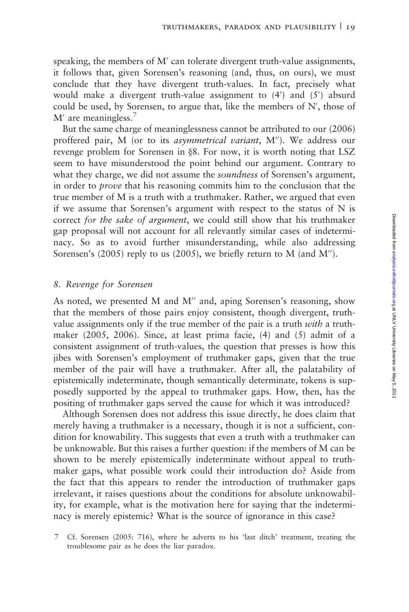speaking, the members of  $M'$  can tolerate divergent truth-value assignments, it follows that, given Sorensen's reasoning (and, thus, on ours), we must conclude that they have divergent truth-values. In fact, precisely what would make a divergent truth-value assignment to  $(4')$  and  $(5')$  absurd could be used, by Sorensen, to argue that, like the members of  $N'$ , those of  $M'$  are meaningless.<sup>7</sup>

But the same charge of meaninglessness cannot be attributed to our (2006) proffered pair, M (or to its asymmetrical variant, M"). We address our revenge problem for Sorensen in §8. For now, it is worth noting that LSZ seem to have misunderstood the point behind our argument. Contrary to what they charge, we did not assume the *soundness* of Sorensen's argument, in order to prove that his reasoning commits him to the conclusion that the true member of M is a truth with a truthmaker. Rather, we argued that even if we assume that Sorensen's argument with respect to the status of  $N$  is correct for the sake of argument, we could still show that his truthmaker gap proposal will not account for all relevantly similar cases of indeterminacy. So as to avoid further misunderstanding, while also addressing Sorensen's  $(2005)$  reply to us  $(2005)$ , we briefly return to M (and M'').

#### 8. Revenge for Sorensen

As noted, we presented M and M" and, aping Sorensen's reasoning, show that the members of those pairs enjoy consistent, though divergent, truthvalue assignments only if the true member of the pair is a truth *with* a truthmaker (2005, 2006). Since, at least prima facie, (4) and (5) admit of a consistent assignment of truth-values, the question that presses is how this jibes with Sorensen's employment of truthmaker gaps, given that the true member of the pair will have a truthmaker. After all, the palatability of epistemically indeterminate, though semantically determinate, tokens is supposedly supported by the appeal to truthmaker gaps. How, then, has the positing of truthmaker gaps served the cause for which it was introduced?

Although Sorensen does not address this issue directly, he does claim that merely having a truthmaker is a necessary, though it is not a sufficient, condition for knowability. This suggests that even a truth with a truthmaker can be unknowable. But this raises a further question: if the members of M can be shown to be merely epistemically indeterminate without appeal to truthmaker gaps, what possible work could their introduction do? Aside from the fact that this appears to render the introduction of truthmaker gaps irrelevant, it raises questions about the conditions for absolute unknowability, for example, what is the motivation here for saying that the indeterminacy is merely epistemic? What is the source of ignorance in this case?

<sup>7</sup> Cf. Sorensen (2005: 716), where he adverts to his 'last ditch' treatment, treating the troublesome pair as he does the liar paradox.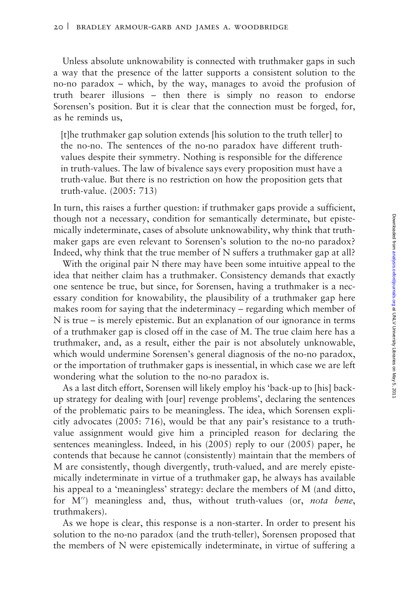Unless absolute unknowability is connected with truthmaker gaps in such a way that the presence of the latter supports a consistent solution to the no-no paradox – which, by the way, manages to avoid the profusion of truth bearer illusions – then there is simply no reason to endorse Sorensen's position. But it is clear that the connection must be forged, for, as he reminds us,

[t]he truthmaker gap solution extends [his solution to the truth teller] to the no-no. The sentences of the no-no paradox have different truthvalues despite their symmetry. Nothing is responsible for the difference in truth-values. The law of bivalence says every proposition must have a truth-value. But there is no restriction on how the proposition gets that truth-value. (2005: 713)

In turn, this raises a further question: if truthmaker gaps provide a sufficient, though not a necessary, condition for semantically determinate, but epistemically indeterminate, cases of absolute unknowability, why think that truthmaker gaps are even relevant to Sorensen's solution to the no-no paradox? Indeed, why think that the true member of N suffers a truthmaker gap at all?

With the original pair N there may have been some intuitive appeal to the idea that neither claim has a truthmaker. Consistency demands that exactly one sentence be true, but since, for Sorensen, having a truthmaker is a necessary condition for knowability, the plausibility of a truthmaker gap here makes room for saying that the indeterminacy – regarding which member of N is true – is merely epistemic. But an explanation of our ignorance in terms of a truthmaker gap is closed off in the case of M. The true claim here has a truthmaker, and, as a result, either the pair is not absolutely unknowable, which would undermine Sorensen's general diagnosis of the no-no paradox, or the importation of truthmaker gaps is inessential, in which case we are left wondering what the solution to the no-no paradox is.

As a last ditch effort, Sorensen will likely employ his 'back-up to [his] backup strategy for dealing with [our] revenge problems', declaring the sentences of the problematic pairs to be meaningless. The idea, which Sorensen explicitly advocates (2005: 716), would be that any pair's resistance to a truthvalue assignment would give him a principled reason for declaring the sentences meaningless. Indeed, in his (2005) reply to our (2005) paper, he contends that because he cannot (consistently) maintain that the members of M are consistently, though divergently, truth-valued, and are merely epistemically indeterminate in virtue of a truthmaker gap, he always has available his appeal to a 'meaningless' strategy: declare the members of M (and ditto, for  $M''$ ) meaningless and, thus, without truth-values (or, *nota bene*, truthmakers).

As we hope is clear, this response is a non-starter. In order to present his solution to the no-no paradox (and the truth-teller), Sorensen proposed that the members of N were epistemically indeterminate, in virtue of suffering a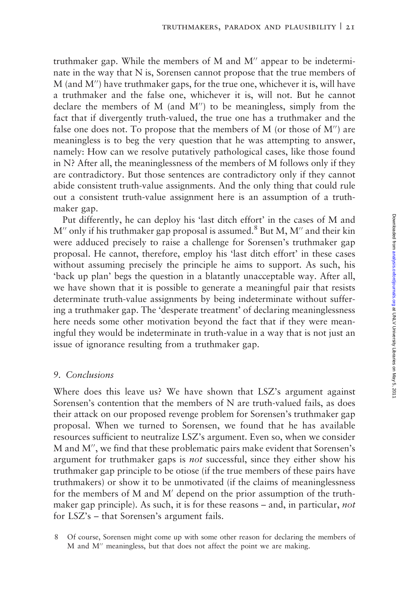truthmaker gap. While the members of M and  $M''$  appear to be indeterminate in the way that N is, Sorensen cannot propose that the true members of  $M$  (and  $M''$ ) have truthmaker gaps, for the true one, whichever it is, will have a truthmaker and the false one, whichever it is, will not. But he cannot declare the members of  $M$  (and  $M''$ ) to be meaningless, simply from the fact that if divergently truth-valued, the true one has a truthmaker and the false one does not. To propose that the members of  $M$  (or those of  $M''$ ) are meaningless is to beg the very question that he was attempting to answer, namely: How can we resolve putatively pathological cases, like those found in N? After all, the meaninglessness of the members of M follows only if they are contradictory. But those sentences are contradictory only if they cannot abide consistent truth-value assignments. And the only thing that could rule out a consistent truth-value assignment here is an assumption of a truthmaker gap.

Put differently, he can deploy his 'last ditch effort' in the cases of M and  $M''$  only if his truthmaker gap proposal is assumed.<sup>8</sup> But M, M<sup> $''$ </sup> and their kin were adduced precisely to raise a challenge for Sorensen's truthmaker gap proposal. He cannot, therefore, employ his 'last ditch effort' in these cases without assuming precisely the principle he aims to support. As such, his 'back up plan' begs the question in a blatantly unacceptable way. After all, we have shown that it is possible to generate a meaningful pair that resists determinate truth-value assignments by being indeterminate without suffering a truthmaker gap. The 'desperate treatment' of declaring meaninglessness here needs some other motivation beyond the fact that if they were meaningful they would be indeterminate in truth-value in a way that is not just an issue of ignorance resulting from a truthmaker gap.

# 9. Conclusions

Where does this leave us? We have shown that LSZ's argument against Sorensen's contention that the members of N are truth-valued fails, as does their attack on our proposed revenge problem for Sorensen's truthmaker gap proposal. When we turned to Sorensen, we found that he has available resources sufficient to neutralize LSZ's argument. Even so, when we consider M and M", we find that these problematic pairs make evident that Sorensen's argument for truthmaker gaps is not successful, since they either show his truthmaker gap principle to be otiose (if the true members of these pairs have truthmakers) or show it to be unmotivated (if the claims of meaninglessness for the members of M and M' depend on the prior assumption of the truthmaker gap principle). As such, it is for these reasons – and, in particular, not for LSZ's – that Sorensen's argument fails.

8 Of course, Sorensen might come up with some other reason for declaring the members of M and M" meaningless, but that does not affect the point we are making.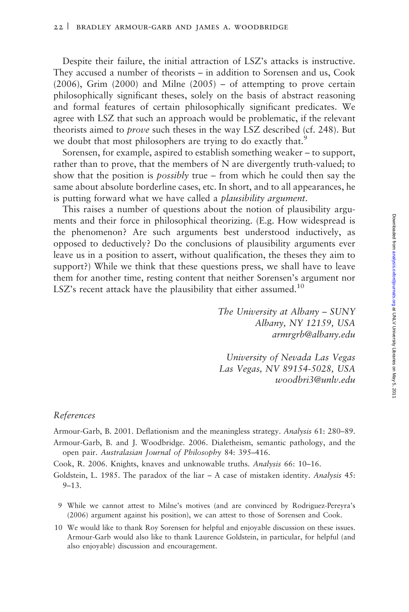Despite their failure, the initial attraction of LSZ's attacks is instructive. They accused a number of theorists – in addition to Sorensen and us, Cook  $(2006)$ , Grim  $(2000)$  and Milne  $(2005)$  – of attempting to prove certain philosophically significant theses, solely on the basis of abstract reasoning and formal features of certain philosophically significant predicates. We agree with LSZ that such an approach would be problematic, if the relevant theorists aimed to prove such theses in the way LSZ described (cf. 248). But we doubt that most philosophers are trying to do exactly that.<sup>9</sup>

Sorensen, for example, aspired to establish something weaker – to support, rather than to prove, that the members of N are divergently truth-valued; to show that the position is possibly true – from which he could then say the same about absolute borderline cases, etc. In short, and to all appearances, he is putting forward what we have called a *plausibility argument*.

This raises a number of questions about the notion of plausibility arguments and their force in philosophical theorizing. (E.g. How widespread is the phenomenon? Are such arguments best understood inductively, as opposed to deductively? Do the conclusions of plausibility arguments ever leave us in a position to assert, without qualification, the theses they aim to support?) While we think that these questions press, we shall have to leave them for another time, resting content that neither Sorensen's argument nor LSZ's recent attack have the plausibility that either assumed.<sup>10</sup>

> The University at Albany – SUNY Albany, NY 12159, USA armrgrb@albany.edu

> University of Nevada Las Vegas Las Vegas, NV 89154-5028, USA woodbri3@unlv.edu

#### References

Armour-Garb, B. 2001. Deflationism and the meaningless strategy. Analysis 61: 280–89.

Armour-Garb, B. and J. Woodbridge. 2006. Dialetheism, semantic pathology, and the open pair. Australasian Journal of Philosophy 84: 395–416.

Cook, R. 2006. Knights, knaves and unknowable truths. Analysis 66: 10–16.

Goldstein, L. 1985. The paradox of the liar – A case of mistaken identity. Analysis 45: 9–13.

- 9 While we cannot attest to Milne's motives (and are convinced by Rodriguez-Pereyra's (2006) argument against his position), we can attest to those of Sorensen and Cook.
- 10 We would like to thank Roy Sorensen for helpful and enjoyable discussion on these issues. Armour-Garb would also like to thank Laurence Goldstein, in particular, for helpful (and also enjoyable) discussion and encouragement.